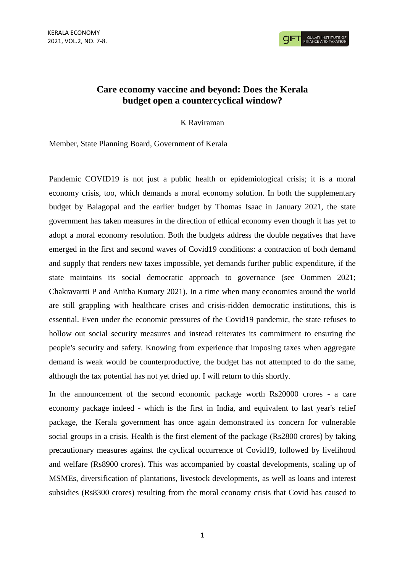**CIFT GULATI INSTITUTE O** 

# **Care economy vaccine and beyond: Does the Kerala budget open a countercyclical window?**

K Raviraman

Member, State Planning Board, Government of Kerala

Pandemic COVID19 is not just a public health or epidemiological crisis; it is a moral economy crisis, too, which demands a moral economy solution. In both the supplementary budget by Balagopal and the earlier budget by Thomas Isaac in January 2021, the state government has taken measures in the direction of ethical economy even though it has yet to adopt a moral economy resolution. Both the budgets address the double negatives that have emerged in the first and second waves of Covid19 conditions: a contraction of both demand and supply that renders new taxes impossible, yet demands further public expenditure, if the state maintains its social democratic approach to governance (see Oommen 2021; Chakravartti P and Anitha Kumary 2021). In a time when many economies around the world are still grappling with healthcare crises and crisis-ridden democratic institutions, this is essential. Even under the economic pressures of the Covid19 pandemic, the state refuses to hollow out social security measures and instead reiterates its commitment to ensuring the people's security and safety. Knowing from experience that imposing taxes when aggregate demand is weak would be counterproductive, the budget has not attempted to do the same, although the tax potential has not yet dried up. I will return to this shortly.

In the announcement of the second economic package worth Rs20000 crores - a care economy package indeed - which is the first in India, and equivalent to last year's relief package, the Kerala government has once again demonstrated its concern for vulnerable social groups in a crisis. Health is the first element of the package (Rs2800 crores) by taking precautionary measures against the cyclical occurrence of Covid19, followed by livelihood and welfare (Rs8900 crores). This was accompanied by coastal developments, scaling up of MSMEs, diversification of plantations, livestock developments, as well as loans and interest subsidies (Rs8300 crores) resulting from the moral economy crisis that Covid has caused to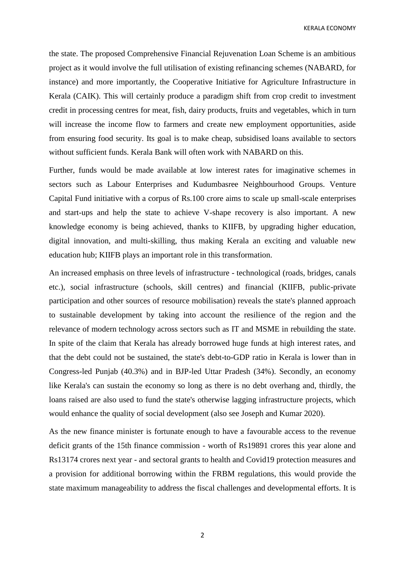KERALA ECONOMY

the state. The proposed Comprehensive Financial Rejuvenation Loan Scheme is an ambitious project as it would involve the full utilisation of existing refinancing schemes (NABARD, for instance) and more importantly, the Cooperative Initiative for Agriculture Infrastructure in Kerala (CAIK). This will certainly produce a paradigm shift from crop credit to investment credit in processing centres for meat, fish, dairy products, fruits and vegetables, which in turn will increase the income flow to farmers and create new employment opportunities, aside from ensuring food security. Its goal is to make cheap, subsidised loans available to sectors without sufficient funds. Kerala Bank will often work with NABARD on this.

Further, funds would be made available at low interest rates for imaginative schemes in sectors such as Labour Enterprises and Kudumbasree Neighbourhood Groups. Venture Capital Fund initiative with a corpus of Rs.100 crore aims to scale up small-scale enterprises and start-ups and help the state to achieve V-shape recovery is also important. A new knowledge economy is being achieved, thanks to KIIFB, by upgrading higher education, digital innovation, and multi-skilling, thus making Kerala an exciting and valuable new education hub; KIIFB plays an important role in this transformation.

An increased emphasis on three levels of infrastructure - technological (roads, bridges, canals etc.), social infrastructure (schools, skill centres) and financial (KIIFB, public-private participation and other sources of resource mobilisation) reveals the state's planned approach to sustainable development by taking into account the resilience of the region and the relevance of modern technology across sectors such as IT and MSME in rebuilding the state. In spite of the claim that Kerala has already borrowed huge funds at high interest rates, and that the debt could not be sustained, the state's debt-to-GDP ratio in Kerala is lower than in Congress-led Punjab (40.3%) and in BJP-led Uttar Pradesh (34%). Secondly, an economy like Kerala's can sustain the economy so long as there is no debt overhang and, thirdly, the loans raised are also used to fund the state's otherwise lagging infrastructure projects, which would enhance the quality of social development (also see Joseph and Kumar 2020).

As the new finance minister is fortunate enough to have a favourable access to the revenue deficit grants of the 15th finance commission - worth of Rs19891 crores this year alone and Rs13174 crores next year - and sectoral grants to health and Covid19 protection measures and a provision for additional borrowing within the FRBM regulations, this would provide the state maximum manageability to address the fiscal challenges and developmental efforts. It is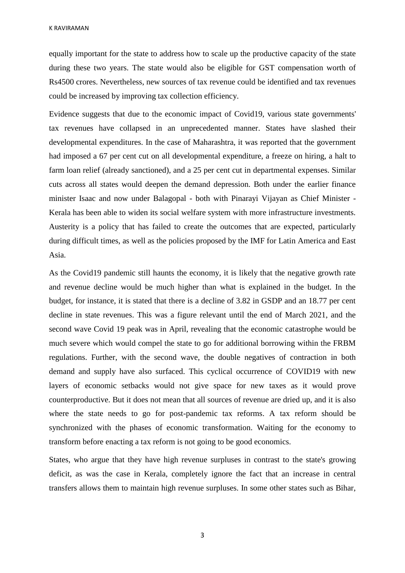K RAVIRAMAN

equally important for the state to address how to scale up the productive capacity of the state during these two years. The state would also be eligible for GST compensation worth of Rs4500 crores. Nevertheless, new sources of tax revenue could be identified and tax revenues could be increased by improving tax collection efficiency.

Evidence suggests that due to the economic impact of Covid19, various state governments' tax revenues have collapsed in an unprecedented manner. States have slashed their developmental expenditures. In the case of Maharashtra, it was reported that the government had imposed a 67 per cent cut on all developmental expenditure, a freeze on hiring, a halt to farm loan relief (already sanctioned), and a 25 per cent cut in departmental expenses. Similar cuts across all states would deepen the demand depression. Both under the earlier finance minister Isaac and now under Balagopal - both with Pinarayi Vijayan as Chief Minister - Kerala has been able to widen its social welfare system with more infrastructure investments. Austerity is a policy that has failed to create the outcomes that are expected, particularly during difficult times, as well as the policies proposed by the IMF for Latin America and East Asia.

As the Covid19 pandemic still haunts the economy, it is likely that the negative growth rate and revenue decline would be much higher than what is explained in the budget. In the budget, for instance, it is stated that there is a decline of 3.82 in GSDP and an 18.77 per cent decline in state revenues. This was a figure relevant until the end of March 2021, and the second wave Covid 19 peak was in April, revealing that the economic catastrophe would be much severe which would compel the state to go for additional borrowing within the FRBM regulations. Further, with the second wave, the double negatives of contraction in both demand and supply have also surfaced. This cyclical occurrence of COVID19 with new layers of economic setbacks would not give space for new taxes as it would prove counterproductive. But it does not mean that all sources of revenue are dried up, and it is also where the state needs to go for post-pandemic tax reforms. A tax reform should be synchronized with the phases of economic transformation. Waiting for the economy to transform before enacting a tax reform is not going to be good economics.

States, who argue that they have high revenue surpluses in contrast to the state's growing deficit, as was the case in Kerala, completely ignore the fact that an increase in central transfers allows them to maintain high revenue surpluses. In some other states such as Bihar,

3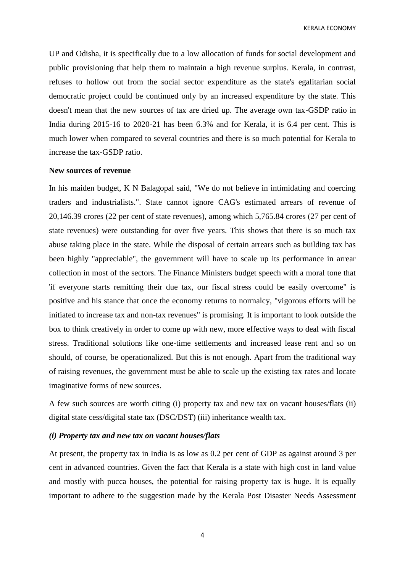KERALA ECONOMY

UP and Odisha, it is specifically due to a low allocation of funds for social development and public provisioning that help them to maintain a high revenue surplus. Kerala, in contrast, refuses to hollow out from the social sector expenditure as the state's egalitarian social democratic project could be continued only by an increased expenditure by the state. This doesn't mean that the new sources of tax are dried up. The average own tax-GSDP ratio in India during 2015-16 to 2020-21 has been 6.3% and for Kerala, it is 6.4 per cent. This is much lower when compared to several countries and there is so much potential for Kerala to increase the tax-GSDP ratio.

## **New sources of revenue**

In his maiden budget, K N Balagopal said, "We do not believe in intimidating and coercing traders and industrialists.". State cannot ignore CAG's estimated arrears of revenue of 20,146.39 crores (22 per cent of state revenues), among which 5,765.84 crores (27 per cent of state revenues) were outstanding for over five years. This shows that there is so much tax abuse taking place in the state. While the disposal of certain arrears such as building tax has been highly "appreciable", the government will have to scale up its performance in arrear collection in most of the sectors. The Finance Ministers budget speech with a moral tone that 'if everyone starts remitting their due tax, our fiscal stress could be easily overcome" is positive and his stance that once the economy returns to normalcy, "vigorous efforts will be initiated to increase tax and non-tax revenues" is promising. It is important to look outside the box to think creatively in order to come up with new, more effective ways to deal with fiscal stress. Traditional solutions like one-time settlements and increased lease rent and so on should, of course, be operationalized. But this is not enough. Apart from the traditional way of raising revenues, the government must be able to scale up the existing tax rates and locate imaginative forms of new sources.

A few such sources are worth citing (i) property tax and new tax on vacant houses/flats (ii) digital state cess/digital state tax (DSC/DST) (iii) inheritance wealth tax.

#### *(i) Property tax and new tax on vacant houses/flats*

At present, the property tax in India is as low as 0.2 per cent of GDP as against around 3 per cent in advanced countries. Given the fact that Kerala is a state with high cost in land value and mostly with pucca houses, the potential for raising property tax is huge. It is equally important to adhere to the suggestion made by the Kerala Post Disaster Needs Assessment

4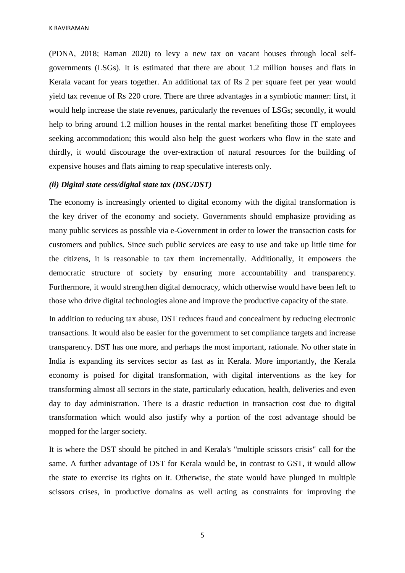(PDNA, 2018; Raman 2020) to levy a new tax on vacant houses through local selfgovernments (LSGs). It is estimated that there are about 1.2 million houses and flats in Kerala vacant for years together. An additional tax of Rs 2 per square feet per year would yield tax revenue of Rs 220 crore. There are three advantages in a symbiotic manner: first, it would help increase the state revenues, particularly the revenues of LSGs; secondly, it would help to bring around 1.2 million houses in the rental market benefiting those IT employees seeking accommodation; this would also help the guest workers who flow in the state and thirdly, it would discourage the over-extraction of natural resources for the building of expensive houses and flats aiming to reap speculative interests only.

# *(ii) Digital state cess/digital state tax (DSC/DST)*

The economy is increasingly oriented to digital economy with the digital transformation is the key driver of the economy and society. Governments should emphasize providing as many public services as possible via e-Government in order to lower the transaction costs for customers and publics. Since such public services are easy to use and take up little time for the citizens, it is reasonable to tax them incrementally. Additionally, it empowers the democratic structure of society by ensuring more accountability and transparency. Furthermore, it would strengthen digital democracy, which otherwise would have been left to those who drive digital technologies alone and improve the productive capacity of the state.

In addition to reducing tax abuse, DST reduces fraud and concealment by reducing electronic transactions. It would also be easier for the government to set compliance targets and increase transparency. DST has one more, and perhaps the most important, rationale. No other state in India is expanding its services sector as fast as in Kerala. More importantly, the Kerala economy is poised for digital transformation, with digital interventions as the key for transforming almost all sectors in the state, particularly education, health, deliveries and even day to day administration. There is a drastic reduction in transaction cost due to digital transformation which would also justify why a portion of the cost advantage should be mopped for the larger society.

It is where the DST should be pitched in and Kerala's "multiple scissors crisis" call for the same. A further advantage of DST for Kerala would be, in contrast to GST, it would allow the state to exercise its rights on it. Otherwise, the state would have plunged in multiple scissors crises, in productive domains as well acting as constraints for improving the

5